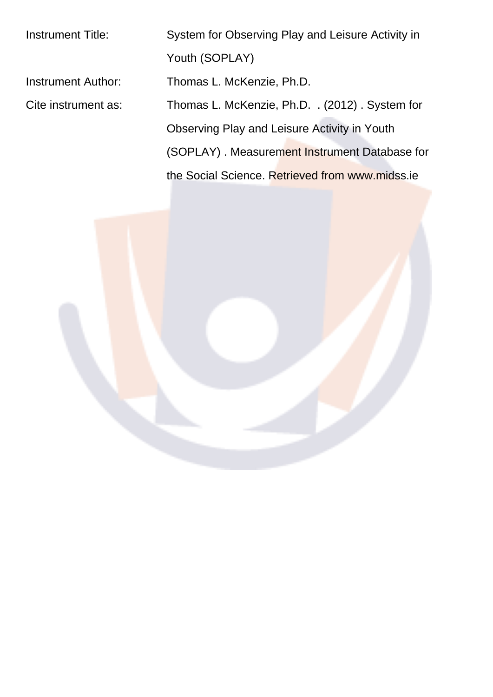Instrument Title: System for Observing Play and Leisure Activity in Youth (SOPLAY) Instrument Author: Thomas L. McKenzie, Ph.D. Cite instrument as: Thomas L. McKenzie, Ph.D. . (2012) . System for Observing Play and Leisure Activity in Youth (SOPLAY) . Measurement Instrument Database for the Social Science. Retrieved from www.midss.ie

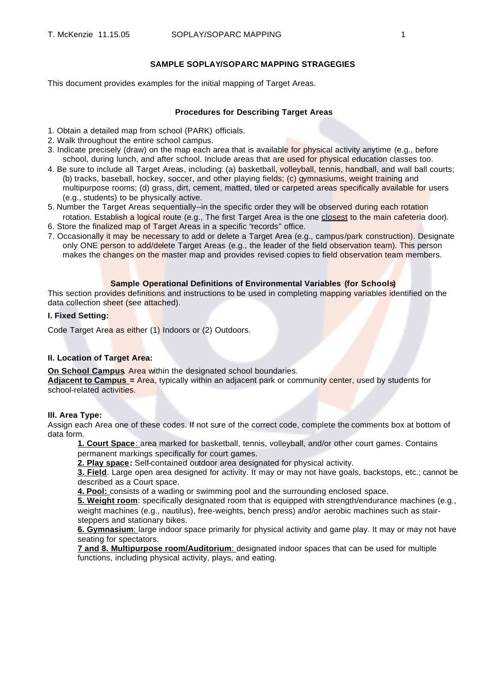# **SAMPLE SOPLAY/SOPARC MAPPING STRAGEGIES**

This document provides examples for the initial mapping of Target Areas.

### **Procedures for Describing Target Areas**

- 1. Obtain a detailed map from school (PARK) officials.
- 2. Walk throughout the entire school campus.
- 3. Indicate precisely (draw) on the map each area that is available for physical activity anytime (e.g., before school, during lunch, and after school. Include areas that are used for physical education classes too.
- 4. Be sure to include all Target Areas, including: (a) basketball, volleyball, tennis, handball, and wall ball courts; (b) tracks, baseball, hockey, soccer, and other playing fields; (c) gymnasiums, weight training and multipurpose rooms; (d) grass, dirt, cement, matted, tiled or carpeted areas specifically available for users (e.g., students) to be physically active.
- 5. Number the Target Areas sequentially--in the specific order they will be observed during each rotation rotation. Establish a logical route (e.g., The first Target Area is the one closest to the main cafeteria door).
- 6. Store the finalized map of Target Areas in a specific "records" office.
- 7. Occasionally it may be necessary to add or delete a Target Area (e.g., campus/park construction). Designate only ONE person to add/delete Target Areas (e.g., the leader of the field observation team). This person makes the changes on the master map and provides revised copies to field observation team members.

### **Sample Operational Definitions of Environmental Variables (for Schools)**

This section provides definitions and instructions to be used in completing mapping variables identified on the data collection sheet (see attached).

### **I. Fixed Setting:**

Code Target Area as either (1) Indoors or (2) Outdoors.

## **II. Location of Target Area:**

**On School Campus**. Area within the designated school boundaries.

**Adjacent to Campus =** Area, typically within an adjacent park or community center, used by students for school-related activities.

#### **III. Area Type:**

Assign each Area one of these codes. If not sure of the correct code, complete the comments box at bottom of data form.

**1. Court Space**: area marked for basketball, tennis, volleyball, and/or other court games. Contains permanent markings specifically for court games.

**2. Play space:** Self-contained outdoor area designated for physical activity.

**3. Field**. Large open area designed for activity. It may or may not have goals, backstops, etc.; cannot be described as a Court space.

**4. Pool:** consists of a wading or swimming pool and the surrounding enclosed space.

**5. Weight room**: specifically designated room that is equipped with strength/endurance machines (e.g., weight machines (e.g., nautilus), free-weights, bench press) and/or aerobic machines such as stairsteppers and stationary bikes.

**6. Gymnasium**: large indoor space primarily for physical activity and game play. It may or may not have seating for spectators.

**7 and 8. Multipurpose room/Auditorium**: designated indoor spaces that can be used for multiple functions, including physical activity, plays, and eating.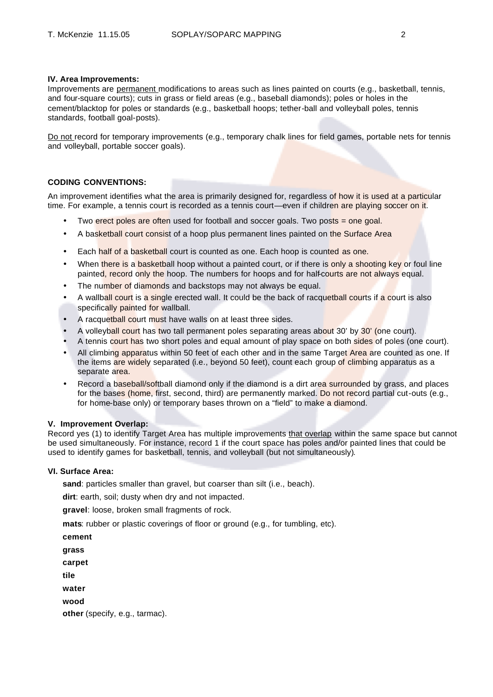# **IV. Area Improvements:**

Improvements are permanent modifications to areas such as lines painted on courts (e.g., basketball, tennis, and four-square courts); cuts in grass or field areas (e.g., baseball diamonds); poles or holes in the cement/blacktop for poles or standards (e.g., basketball hoops; tether-ball and volleyball poles, tennis standards, football goal-posts).

Do not record for temporary improvements (e.g., temporary chalk lines for field games, portable nets for tennis and volleyball, portable soccer goals).

# **CODING CONVENTIONS:**

An improvement identifies what the area is primarily designed for, regardless of how it is used at a particular time. For example, a tennis court is recorded as a tennis court—even if children are playing soccer on it.

- Two erect poles are often used for football and soccer goals. Two posts = one goal.
- A basketball court consist of a hoop plus permanent lines painted on the Surface Area
- Each half of a basketball court is counted as one. Each hoop is counted as one.
- When there is a basketball hoop without a painted court, or if there is only a shooting key or foul line painted, record only the hoop. The numbers for hoops and for half-courts are not always equal.
- The number of diamonds and backstops may not always be equal.
- A wallball court is a single erected wall. It could be the back of racquetball courts if a court is also specifically painted for wallball.
- A racquetball court must have walls on at least three sides.
- A volleyball court has two tall permanent poles separating areas about 30' by 30' (one court).
- A tennis court has two short poles and equal amount of play space on both sides of poles (one court).
- All climbing apparatus within 50 feet of each other and in the same Target Area are counted as one. If the items are widely separated (i.e., beyond 50 feet), count each group of climbing apparatus as a separate area.
- Record a baseball/softball diamond only if the diamond is a dirt area surrounded by grass, and places for the bases (home, first, second, third) are permanently marked. Do not record partial cut-outs (e.g., for home-base only) or temporary bases thrown on a "field" to make a diamond.

#### **V. Improvement Overlap:**

Record yes (1) to identify Target Area has multiple improvements that overlap within the same space but cannot be used simultaneously. For instance, record 1 if the court space has poles and/or painted lines that could be used to identify games for basketball, tennis, and volleyball (but not simultaneously).

# **VI. Surface Area:**

sand: particles smaller than gravel, but coarser than silt (i.e., beach).

**dirt**: earth, soil; dusty when dry and not impacted.

**gravel**: loose, broken small fragments of rock.

**mats**: rubber or plastic coverings of floor or ground (e.g., for tumbling, etc).

| cement                         |  |
|--------------------------------|--|
| grass                          |  |
| carpet                         |  |
| tile                           |  |
| water                          |  |
| wood                           |  |
| other (specify, e.g., tarmac). |  |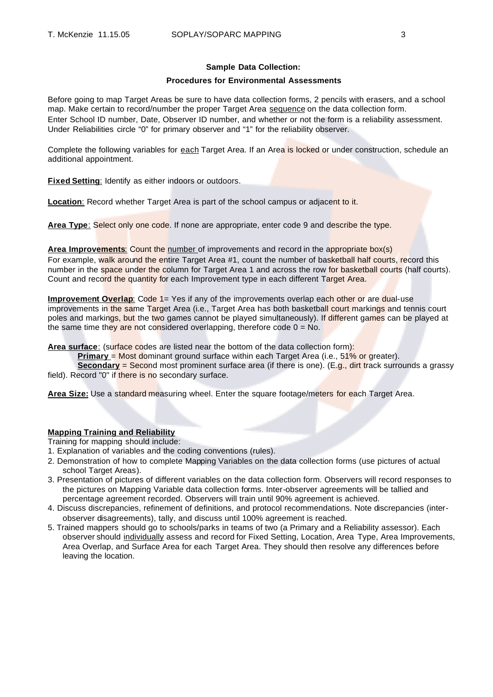## **Sample Data Collection:**

# **Procedures for Environmental Assessments**

Before going to map Target Areas be sure to have data collection forms, 2 pencils with erasers, and a school map. Make certain to record/number the proper Target Area sequence on the data collection form. Enter School ID number, Date, Observer ID number, and whether or not the form is a reliability assessment. Under Reliabilities circle "0" for primary observer and "1" for the reliability observer.

Complete the following variables for each Target Area. If an Area is locked or under construction, schedule an additional appointment.

**Fixed Setting**: Identify as either indoors or outdoors.

**Location:** Record whether Target Area is part of the school campus or adjacent to it.

**Area Type**: Select only one code. If none are appropriate, enter code 9 and describe the type.

**Area Improvements**: Count the number of improvements and record in the appropriate box(s) For example, walk around the entire Target Area #1, count the number of basketball half courts, record this number in the space under the column for Target Area 1 and across the row for basketball courts (half courts). Count and record the quantity for each Improvement type in each different Target Area.

**Improvement Overlap:** Code 1= Yes if any of the improvements overlap each other or are dual-use improvements in the same Target Area (i.e., Target Area has both basketball court markings and tennis court poles and markings, but the two games cannot be played simultaneously). If different games can be played at the same time they are not considered overlapping, therefore code  $0 = No$ .

Area surface: (surface codes are listed near the bottom of the data collection form):

**Primary** = Most dominant ground surface within each Target Area (i.e., 51% or greater).

**Secondary** = Second most prominent surface area (if there is one). (E.g., dirt track surrounds a grassy field). Record "0" if there is no secondary surface.

**Area Size:** Use a standard measuring wheel. Enter the square footage/meters for each Target Area.

# **Mapping Training and Reliability**

Training for mapping should include:

- 1. Explanation of variables and the coding conventions (rules).
- 2. Demonstration of how to complete Mapping Variables on the data collection forms (use pictures of actual school Target Areas).
- 3. Presentation of pictures of different variables on the data collection form. Observers will record responses to the pictures on Mapping Variable data collection forms. Inter-observer agreements will be tallied and percentage agreement recorded. Observers will train until 90% agreement is achieved.
- 4. Discuss discrepancies, refinement of definitions, and protocol recommendations. Note discrepancies (interobserver disagreements), tally, and discuss until 100% agreement is reached.
- 5. Trained mappers should go to schools/parks in teams of two (a Primary and a Reliability assessor). Each observer should individually assess and record for Fixed Setting, Location, Area Type, Area Improvements, Area Overlap, and Surface Area for each Target Area. They should then resolve any differences before leaving the location.